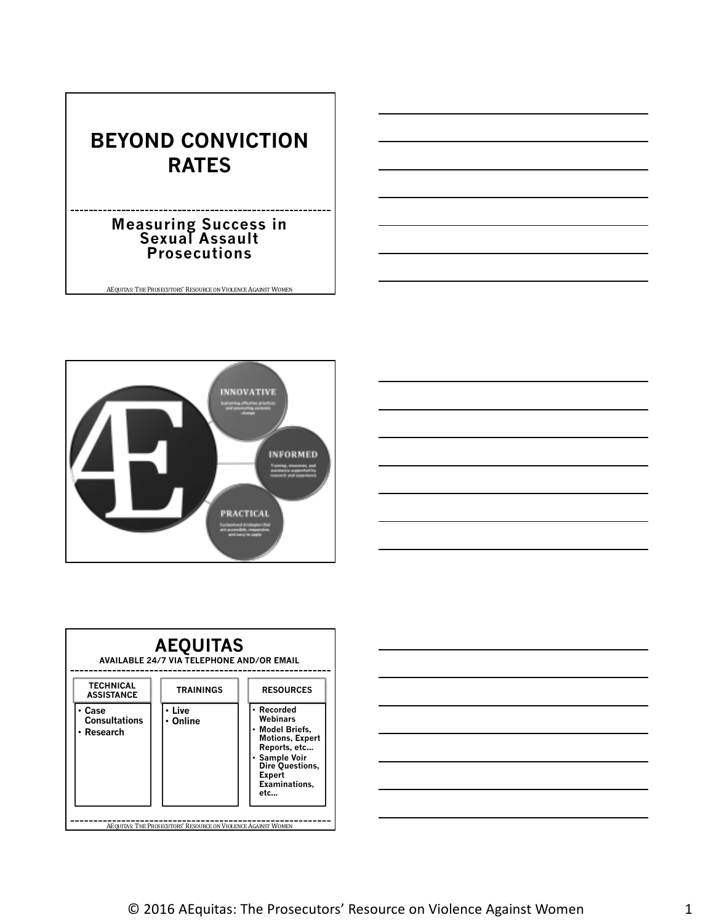# **BEYOND CONVICTION RATES**

#### **Measuring Success in Sexual Assault Prosecutions**







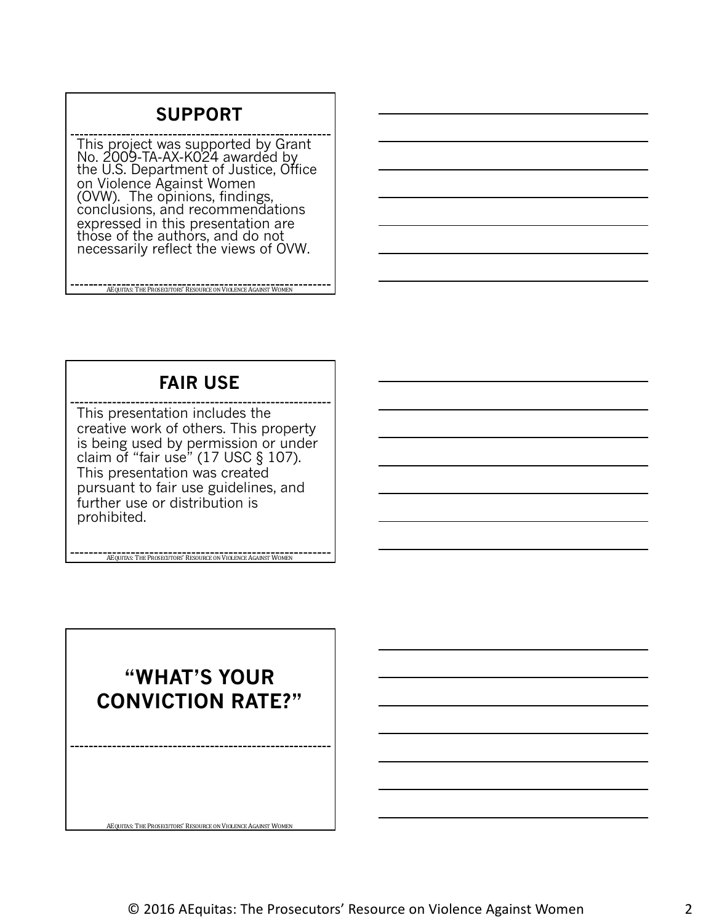## **SUPPORT**

This project was supported by Grant No. 2009-TA-AX-K024 awardéd by<br>the U.S. Department of Justice, Office on Violence Against Women (OVW). The opinions, findings,<br>conclusions, and recommendations expressed in this presentation are those of the authors, and do not necessarily reflect the views of OVW.

AEQUITAS: THE PROSECUTORS' RESOURCE ON VIOLENCE AGAINST WOMEN

**FAIR USE**

This presentation includes the creative work of others. This property is being used by permission or under claim of "fair use" (17 USC § 107). This presentation was created pursuant to fair use guidelines, and further use or distribution is prohibited.

**ACQUITAS:** THE PROSECUTORS' RESOURCE ON VIOLENCE AGAINST WOMEN

**"WHAT'S YOUR CONVICTION RATE?"**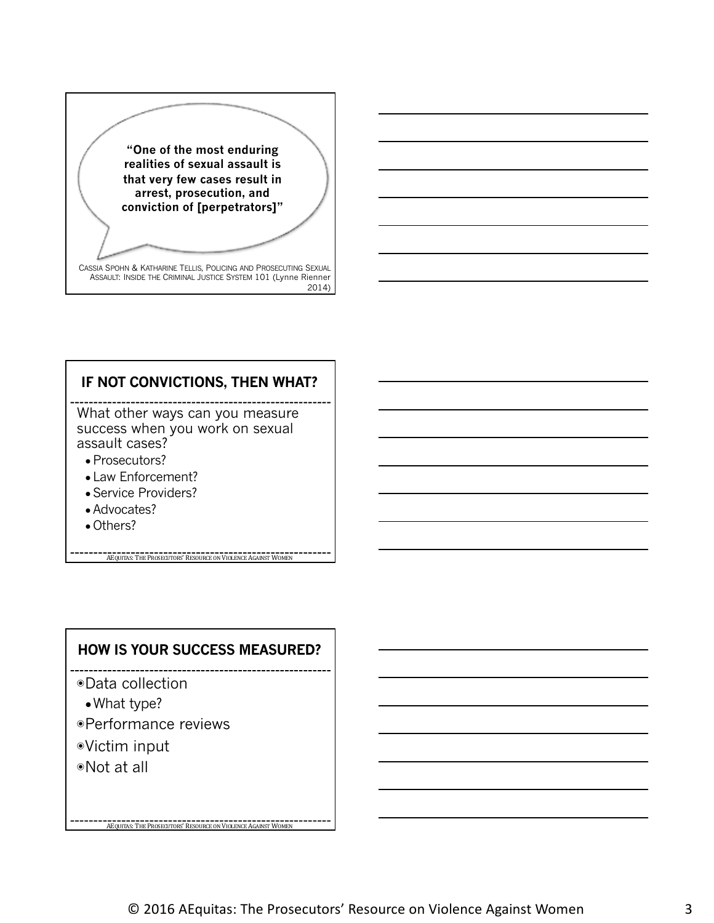

#### **IF NOT CONVICTIONS, THEN WHAT?**

What other ways can you measure success when you work on sexual assault cases?

- Prosecutors?
- Law Enforcement?
- Service Providers?
- Advocates?
- Others?

**AEQUITAS:** THE PROSECUTORS' RESOURCE ON VIOLENCE AGAINST WOMEN

#### **HOW IS YOUR SUCCESS MEASURED?**

**AEQUITAS:** THE PROSECUTORS' RESOURCE ON VIOLENCE AGAINST WOMEN

◉Data collection

- ●What type?
- ◉Performance reviews
- ◉Victim input
- ◉Not at all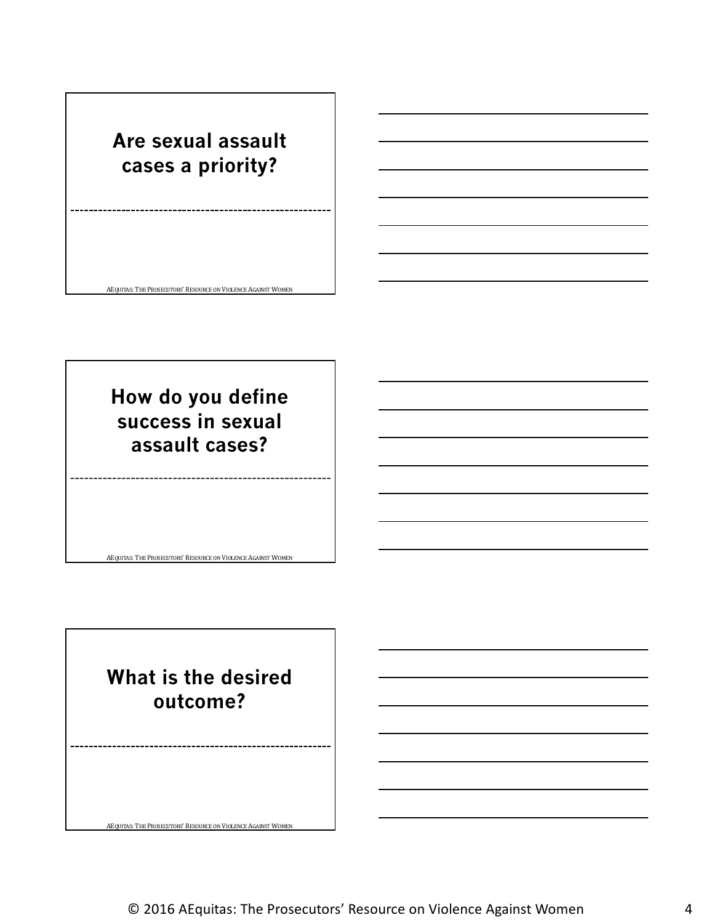# **Are sexual assault cases a priority?**

AEQUITAS: THE PROSECUTORS' RESOURCE ON VIOLENCE AGAINST WOMEN

**How do you define success in sexual assault cases?**

**What is the desired outcome?**

AEQUITAS: THE PROSECUTORS' RESOURCE ON VIOLENCE AGAINST WOMEN

AEQUITAS: THE PROSECUTORS' RESOURCE ON VIOLENCE AGAINST WOMEN

© 2016 AEquitas: The Prosecutors' Resource on Violence Against Women 4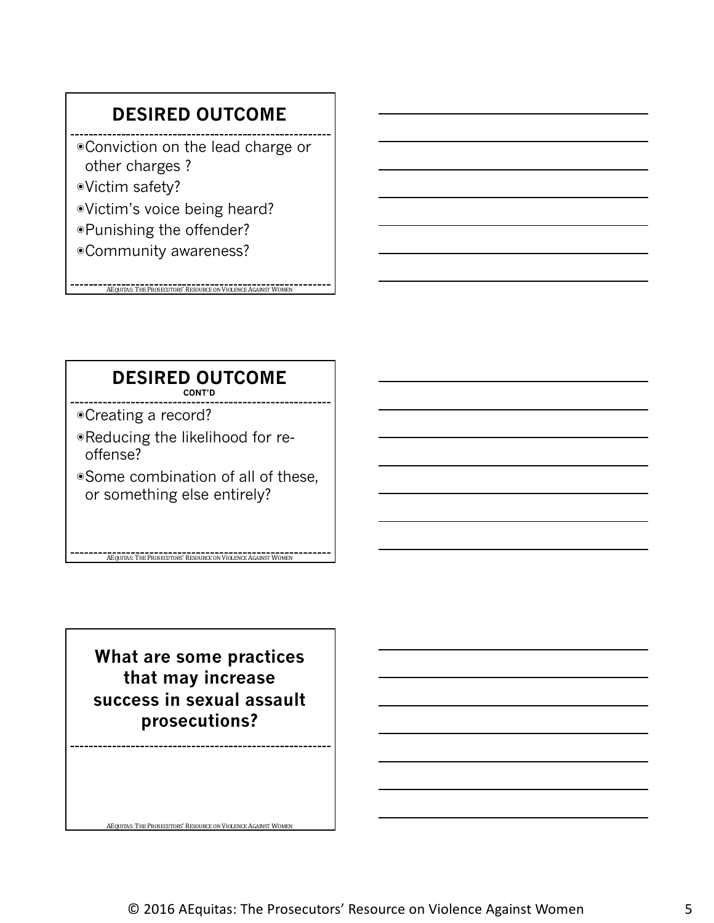## **DESIRED OUTCOME**

- ◉Conviction on the lead charge or other charges ?
- ◉Victim safety?
- ◉Victim's voice being heard?
- ◉Punishing the offender?
- ◉Community awareness?

**AEQUITAS:** THE PROSECUTORS' RESOURCE ON VIOLENCE AGAINST WOMEN

#### **DESIRED OUTCOME CONT'D**

- ◉Creating a record?
- ◉Reducing the likelihood for reoffense?
- ◉Some combination of all of these, or something else entirely?

**ACQUITAS:** THE PROSECUTORS' RESOURCE ON VIOLENCE AGAINST WOMEN

**What are some practices that may increase success in sexual assault prosecutions?**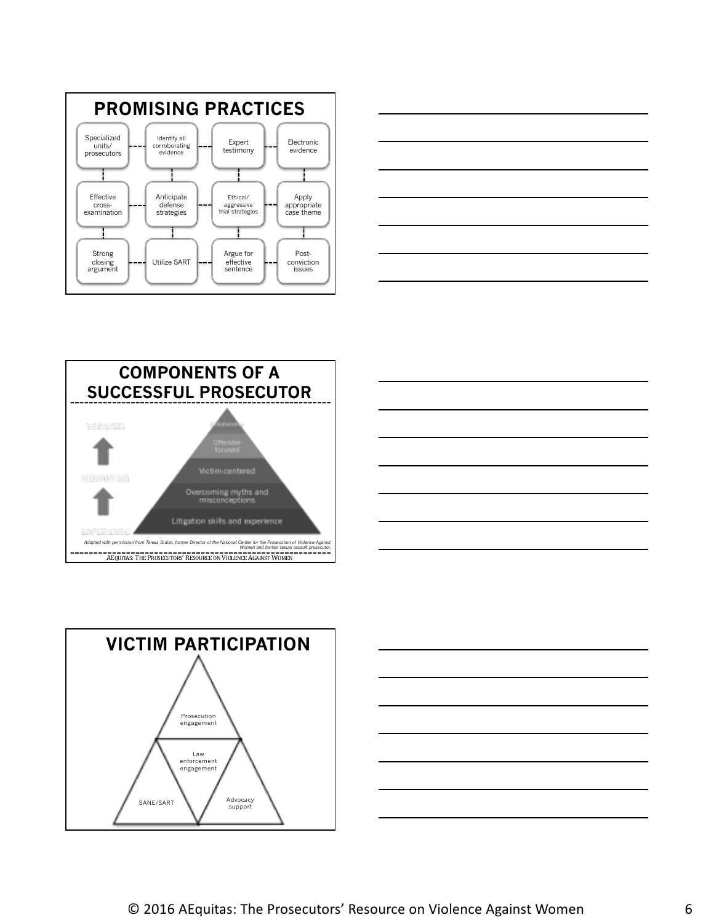









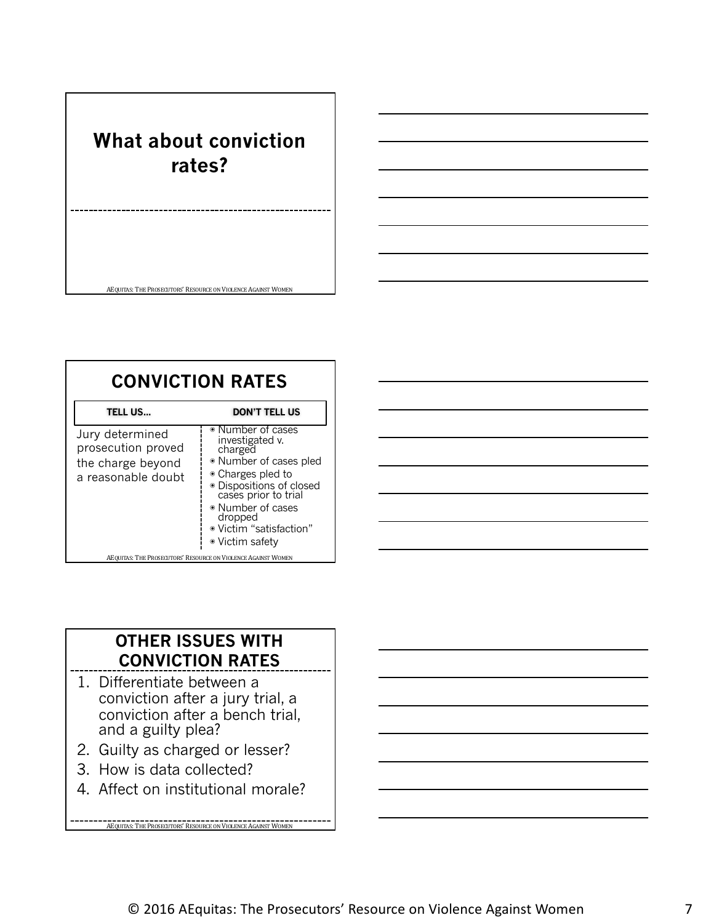# **What about conviction rates?**

AEQUITAS: THE PROSECUTORS' RESOURCE ON VIOLENCE AGAINST WOMEN

| <b>CONVICTION RATES</b>                                                          |                                                                                                                                                                                                                                  |  |
|----------------------------------------------------------------------------------|----------------------------------------------------------------------------------------------------------------------------------------------------------------------------------------------------------------------------------|--|
| TELL US                                                                          | <b>DON'T TELL US</b>                                                                                                                                                                                                             |  |
| Jury determined<br>prosecution proved<br>the charge beyond<br>a reasonable doubt | ◉ Number of cases<br>investigated v.<br>charged<br>· Number of cases pled<br>• Charges pled to<br>· Dispositions of closed<br>cases prior to trial<br>• Number of cases<br>dropped<br>· Victim "satisfaction"<br>• Victim safety |  |
| AEQUITAS: THE PROSECUTORS' RESOURCE ON VIOLENCE AGAINST WOMEN                    |                                                                                                                                                                                                                                  |  |

#### **OTHER ISSUES WITH CONVICTION RATES**

- 1. Differentiate between a conviction after a jury trial, a conviction after a bench trial, and a guilty plea?
- 2. Guilty as charged or lesser?
- 3. How is data collected?
- 4. Affect on institutional morale?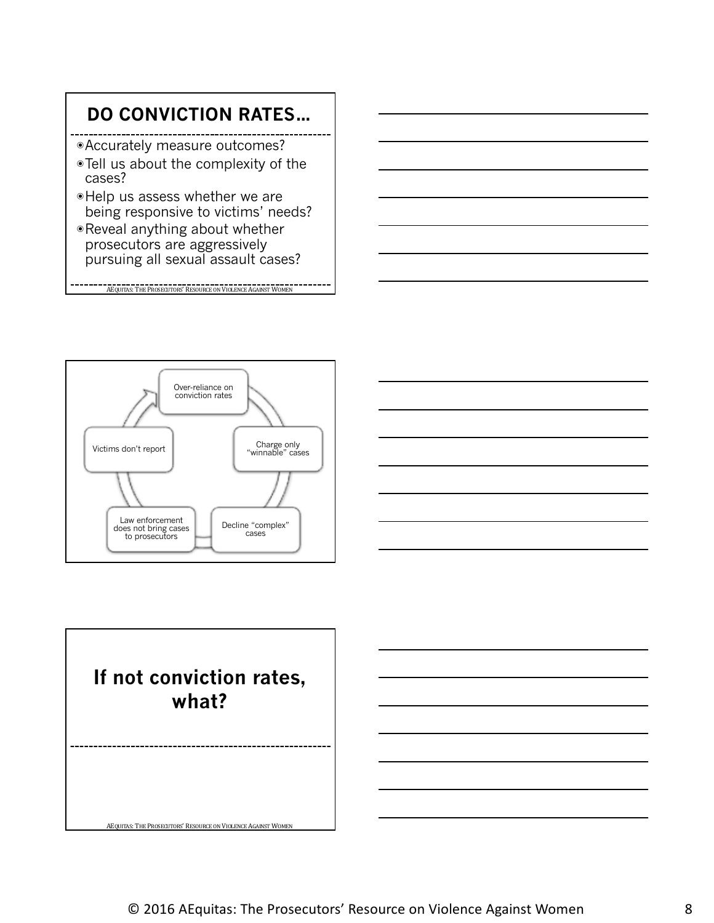# **DO CONVICTION RATES…**

- ◉Accurately measure outcomes?
- ◉Tell us about the complexity of the cases?
- ◉Help us assess whether we are being responsive to victims' needs?
- ◉Reveal anything about whether prosecutors are aggressively pursuing all sexual assault cases?

AEQUITAS: THE PROSECUTORS' RESOURCE ON VIOLENCE AGAINST WOMEN





# **If not conviction rates, what?**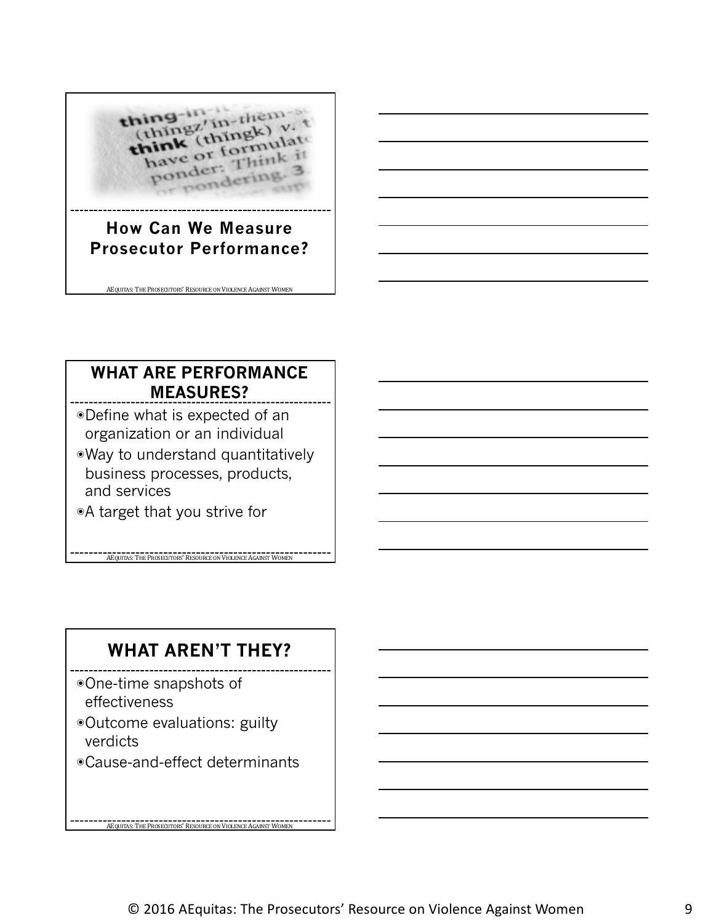### (thing them thing-in think (thingk) v. hink (thingk) ponder: Think ondering

#### **How Can We Measure Prosecutor Performance?**

AEQUITAS: THE PROSECUTORS' RESOURCE ON VIOLENCE AGAINST WOMEN

#### **WHAT ARE PERFORMANCE MEASURES?**

- ◉Define what is expected of an organization or an individual
- ◉Way to understand quantitatively business processes, products, and services

**AEQUITAS:** THE PROSECUTORS' RESOURCE ON VIOLENCE AGAINST WOMEN

◉A target that you strive for

## **WHAT AREN'T THEY?**

- ◉One-time snapshots of effectiveness
- ◉Outcome evaluations: guilty verdicts
- ◉Cause-and-effect determinants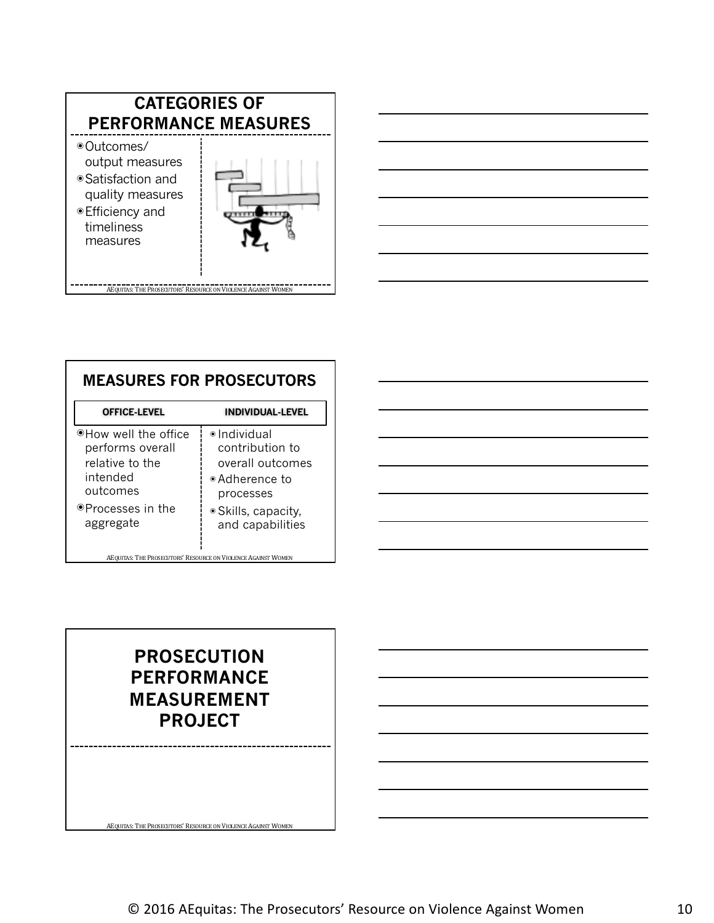



| <b>MEASURES FOR PROSECUTORS</b>                                                                                       |                                                                                                                                               |  |
|-----------------------------------------------------------------------------------------------------------------------|-----------------------------------------------------------------------------------------------------------------------------------------------|--|
| <b>OFFICE-LEVEL</b>                                                                                                   | INDIVIDUAL-LEVEL                                                                                                                              |  |
| ⊕How well the office<br>performs overall<br>relative to the<br>intended<br>outcomes<br>⊕Processes in the<br>aggregate | $\bullet$ Individual<br>contribution to<br>overall outcomes<br>$\bullet$ Adherence to<br>processes<br>• Skills, capacity,<br>and capabilities |  |
| AEQUITAS: THE PROSECUTORS' RESOURCE ON VIOLENCE AGAINST WOMEN                                                         |                                                                                                                                               |  |



## **PROSECUTION PERFORMANCE MEASUREMENT PROJECT**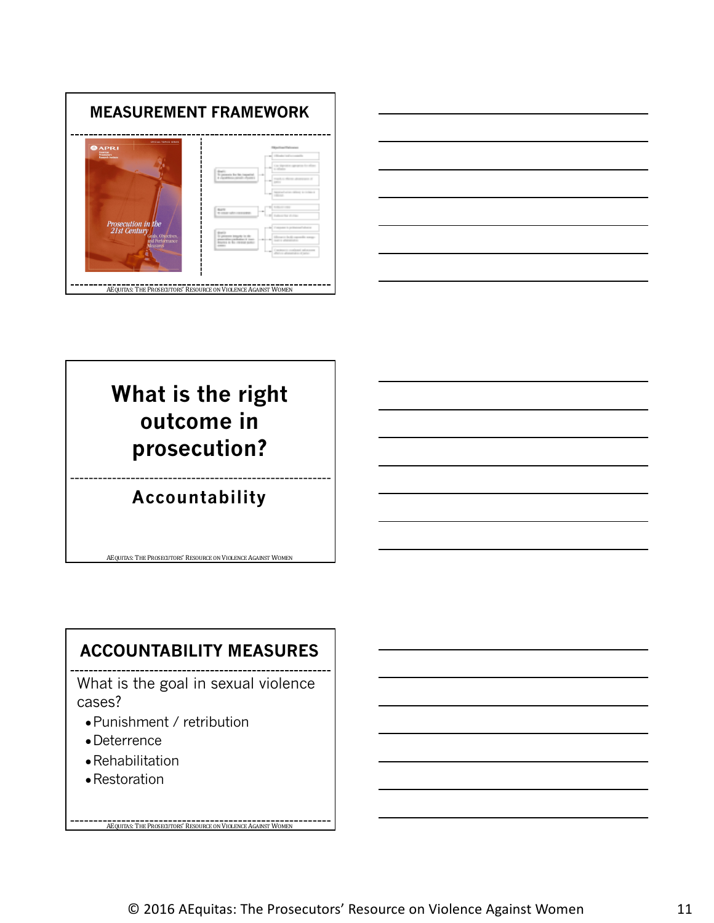



# **What is the right outcome in prosecution?**

## **Accountability**

AEQUITAS: THE PROSECUTORS' RESOURCE ON VIOLENCE AGAINST WOMEN

## **ACCOUNTABILITY MEASURES**

What is the goal in sexual violence cases?

- ●Punishment / retribution
- ●Deterrence
- ●Rehabilitation
- Restoration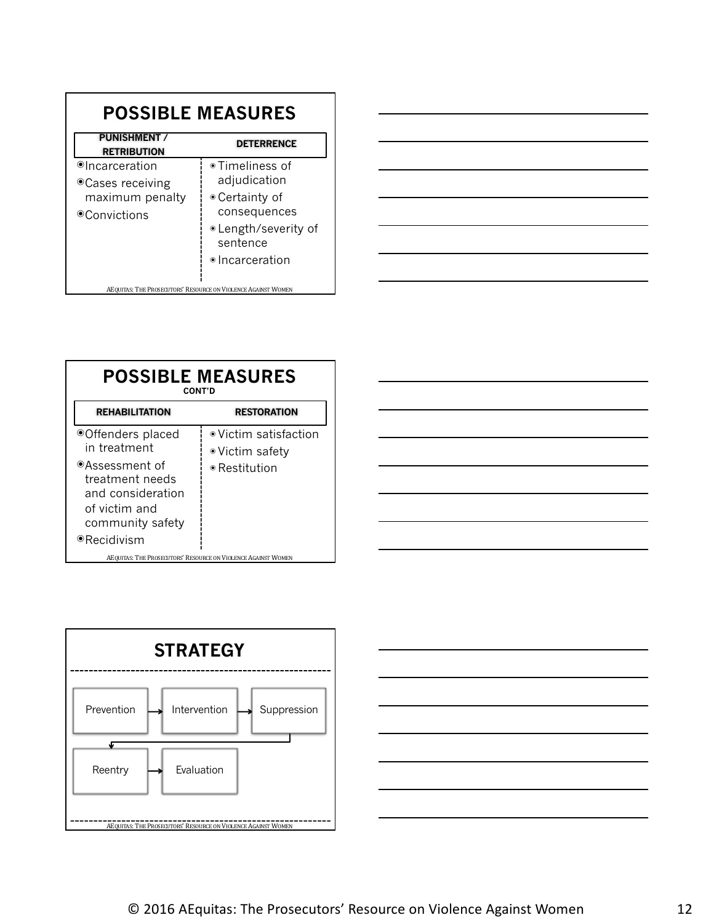| <b>POSSIBLE MEASURES</b>                                               |                                  |  |
|------------------------------------------------------------------------|----------------------------------|--|
| <b>PUNISHMENT /</b><br><b>RETRIBUTION</b>                              | <b>DETERRENCE</b>                |  |
| ⊕Incarceration<br>● Cases receiving<br>maximum penalty<br>⊕Convictions | ● Timeliness of<br>adjudication  |  |
|                                                                        | • Certainty of<br>consequences   |  |
|                                                                        | · Length/severity of<br>sentence |  |
|                                                                        | ● Incarceration                  |  |
| AEQUITAS: THE PROSECUTORS' RESOURCE ON VIOLENCE AGAINST WOMEN          |                                  |  |



| <b>POSSIBLE MEASURES</b><br><b>CONT'D</b>                                                   |                                                 |  |
|---------------------------------------------------------------------------------------------|-------------------------------------------------|--|
| <b>REHABILITATION</b>                                                                       | <b>RESTORATION</b>                              |  |
| ● Offenders placed<br>in treatment                                                          | $\bullet$ Victim satisfaction<br>•Victim safety |  |
| ⊕Assessment of<br>treatment needs<br>and consideration<br>of victim and<br>community safety | $\bullet$ Restitution                           |  |
| ⊕Recidivism<br>AEQUITAS: THE PROSECUTORS' RESOURCE ON VIOLENCE AGAINST WOMEN                |                                                 |  |





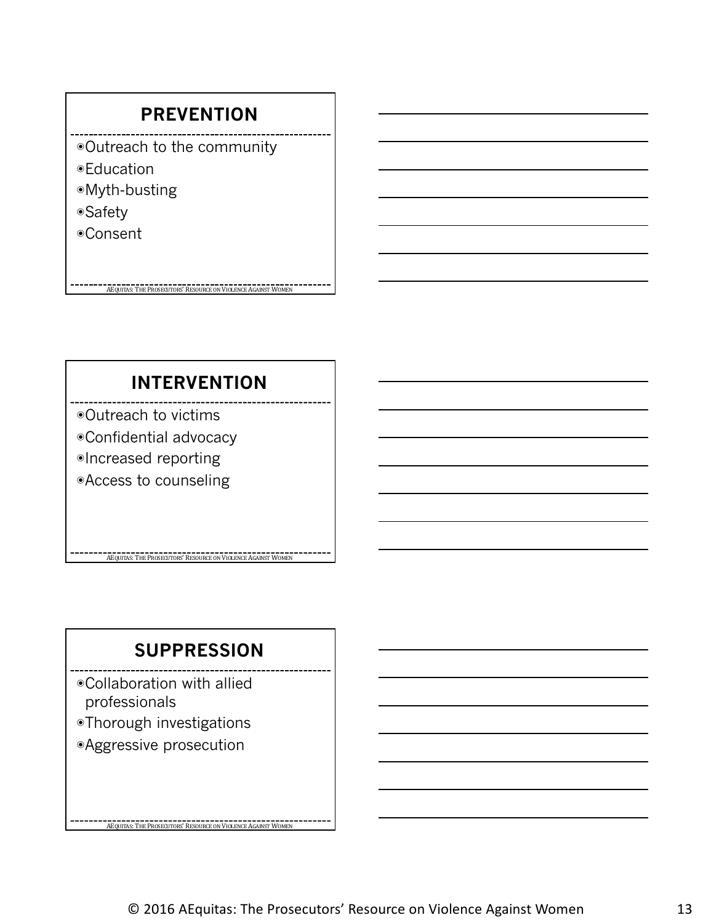## **PREVENTION**

- ◉Outreach to the community
- ◉Education
- ◉Myth-busting
- ◉Safety
- ◉Consent

## **INTERVENTION**

**AEQUITAS:** THE PROSECUTORS' RESOURCE ON VIOLENCE AGAINST WOMEN

- ◉Outreach to victims
- ◉Confidential advocacy
- ◉Increased reporting
- ◉Access to counseling

## **SUPPRESSION**

**AEQUITAS: THE PROSECUTORS' RESOURCE ON VIOLENCE AGAINST WOMEN** 

**ACQUITAS:** THE PROSECUTORS' RESOURCE ON VIOLENCE AGAINST WOMEN

◉Collaboration with allied professionals

- ◉Thorough investigations
- ◉Aggressive prosecution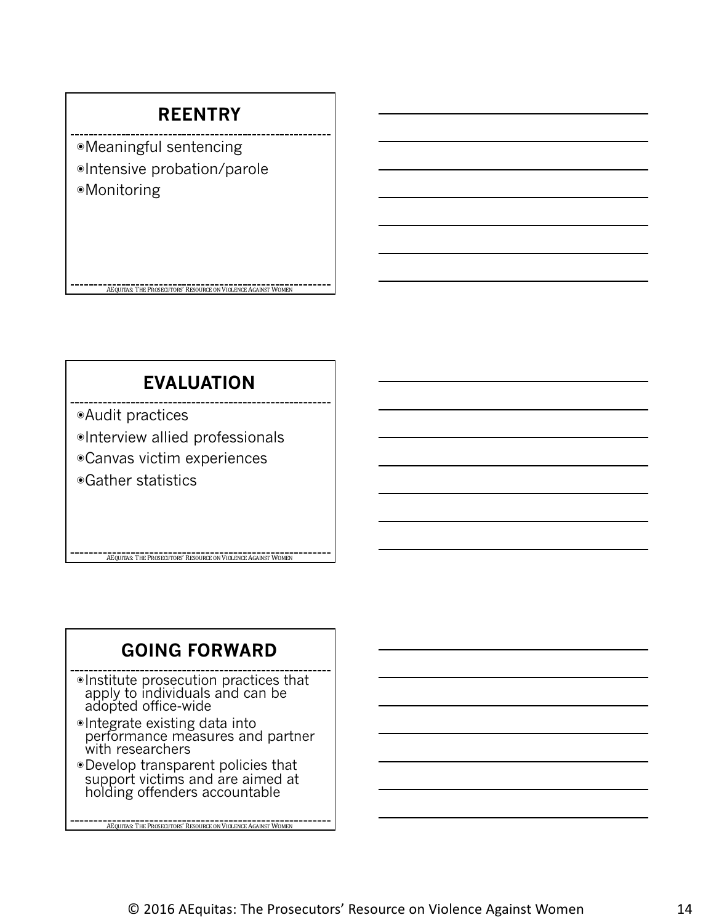## **REENTRY**

◉Meaningful sentencing ◉Intensive probation/parole ◉Monitoring

## **EVALUATION**

AEQUITAS: THE PROSECUTORS' RESOURCE ON VIOLENCE AGAINST WOMEN

◉Audit practices

◉Interview allied professionals

◉Canvas victim experiences

◉Gather statistics

## **GOING FORWARD**

**AEQUITAS: THE PROSECUTORS' RESOURCE ON VIOLENCE AGAINST WOMEN** 

◉Institute prosecution practices that apply to individuals and can be adopted office-wide

- ◉Integrate existing data into performance measures and partner with researchers
- ◉Develop transparent policies that support victims and are aimed at holding offenders accountable